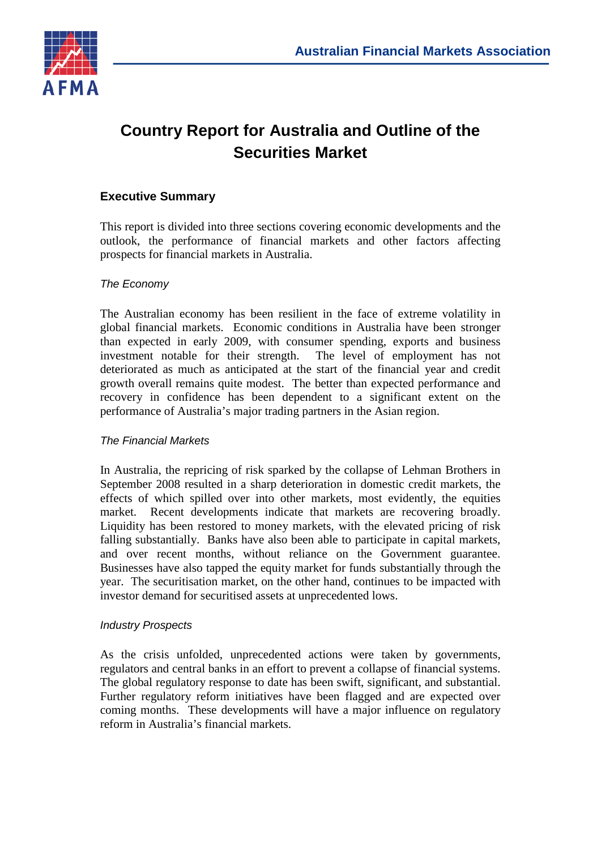

# **Country Report for Australia and Outline of the Securities Market**

# **Executive Summary**

This report is divided into three sections covering economic developments and the outlook, the performance of financial markets and other factors affecting prospects for financial markets in Australia.

### *The Economy*

The Australian economy has been resilient in the face of extreme volatility in global financial markets. Economic conditions in Australia have been stronger than expected in early 2009, with consumer spending, exports and business investment notable for their strength. The level of employment has not deteriorated as much as anticipated at the start of the financial year and credit growth overall remains quite modest. The better than expected performance and recovery in confidence has been dependent to a significant extent on the performance of Australia's major trading partners in the Asian region.

#### *The Financial Markets*

In Australia, the repricing of risk sparked by the collapse of Lehman Brothers in September 2008 resulted in a sharp deterioration in domestic credit markets, the effects of which spilled over into other markets, most evidently, the equities market. Recent developments indicate that markets are recovering broadly. Liquidity has been restored to money markets, with the elevated pricing of risk falling substantially. Banks have also been able to participate in capital markets, and over recent months, without reliance on the Government guarantee. Businesses have also tapped the equity market for funds substantially through the year. The securitisation market, on the other hand, continues to be impacted with investor demand for securitised assets at unprecedented lows.

#### *Industry Prospects*

As the crisis unfolded, unprecedented actions were taken by governments, regulators and central banks in an effort to prevent a collapse of financial systems. The global regulatory response to date has been swift, significant, and substantial. Further regulatory reform initiatives have been flagged and are expected over coming months. These developments will have a major influence on regulatory reform in Australia's financial markets.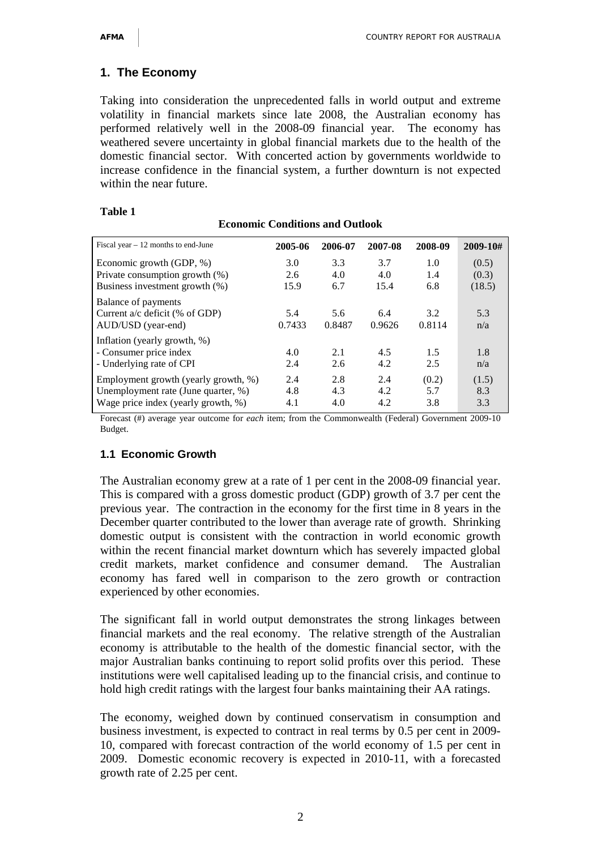# **1. The Economy**

Taking into consideration the unprecedented falls in world output and extreme volatility in financial markets since late 2008, the Australian economy has performed relatively well in the 2008-09 financial year. The economy has weathered severe uncertainty in global financial markets due to the health of the domestic financial sector. With concerted action by governments worldwide to increase confidence in the financial system, a further downturn is not expected within the near future.

**Economic Conditions and Outlook**

| Fiscal year $-12$ months to end-June | 2005-06 | 2006-07 | 2007-08 | 2008-09 | 2009-10# |
|--------------------------------------|---------|---------|---------|---------|----------|
| Economic growth (GDP, %)             | 3.0     | 3.3     | 3.7     | 1.0     | (0.5)    |
| Private consumption growth (%)       | 2.6     | 4.0     | 4.0     | 1.4     | (0.3)    |
| Business investment growth (%)       | 15.9    | 6.7     | 15.4    | 6.8     | (18.5)   |
| Balance of payments                  |         |         |         |         |          |
| Current a/c deficit (% of GDP)       | 5.4     | 5.6     | 6.4     | 3.2     | 5.3      |
| AUD/USD (year-end)                   | 0.7433  | 0.8487  | 0.9626  | 0.8114  | n/a      |
| Inflation (yearly growth, %)         |         |         |         |         |          |
| - Consumer price index               | 4.0     | 2.1     | 4.5     | 1.5     | 1.8      |
| - Underlying rate of CPI             | 2.4     | 2.6     | 4.2     | 2.5     | n/a      |
| Employment growth (yearly growth, %) | 2.4     | 2.8     | 2.4     | (0.2)   | (1.5)    |
| Unemployment rate (June quarter, %)  | 4.8     | 4.3     | 4.2     | 5.7     | 8.3      |
| Wage price index (yearly growth, %)  | 4.1     | 4.0     | 4.2     | 3.8     | 3.3      |

#### **Table 1**

Forecast (#) average year outcome for *each* item; from the Commonwealth (Federal) Government 2009-10 Budget.

# **1.1 Economic Growth**

The Australian economy grew at a rate of 1 per cent in the 2008-09 financial year. This is compared with a gross domestic product (GDP) growth of 3.7 per cent the previous year. The contraction in the economy for the first time in 8 years in the December quarter contributed to the lower than average rate of growth. Shrinking domestic output is consistent with the contraction in world economic growth within the recent financial market downturn which has severely impacted global credit markets, market confidence and consumer demand. The Australian economy has fared well in comparison to the zero growth or contraction experienced by other economies.

The significant fall in world output demonstrates the strong linkages between financial markets and the real economy. The relative strength of the Australian economy is attributable to the health of the domestic financial sector, with the major Australian banks continuing to report solid profits over this period. These institutions were well capitalised leading up to the financial crisis, and continue to hold high credit ratings with the largest four banks maintaining their AA ratings.

The economy, weighed down by continued conservatism in consumption and business investment, is expected to contract in real terms by 0.5 per cent in 2009- 10, compared with forecast contraction of the world economy of 1.5 per cent in 2009. Domestic economic recovery is expected in 2010-11, with a forecasted growth rate of 2.25 per cent.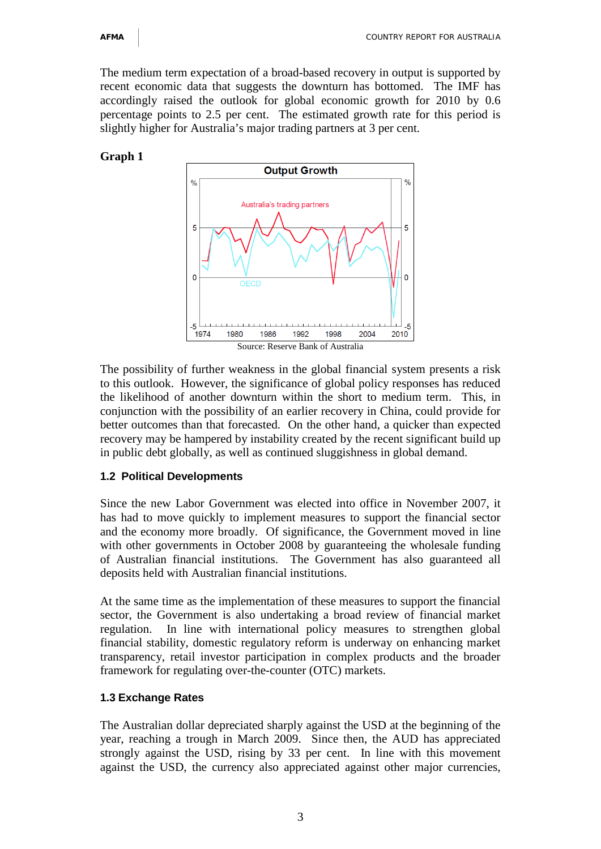The medium term expectation of a broad-based recovery in output is supported by recent economic data that suggests the downturn has bottomed. The IMF has accordingly raised the outlook for global economic growth for 2010 by 0.6 percentage points to 2.5 per cent. The estimated growth rate for this period is slightly higher for Australia's major trading partners at 3 per cent.

## **Graph 1**



The possibility of further weakness in the global financial system presents a risk to this outlook. However, the significance of global policy responses has reduced the likelihood of another downturn within the short to medium term. This, in conjunction with the possibility of an earlier recovery in China, could provide for better outcomes than that forecasted. On the other hand, a quicker than expected recovery may be hampered by instability created by the recent significant build up in public debt globally, as well as continued sluggishness in global demand.

#### **1.2 Political Developments**

Since the new Labor Government was elected into office in November 2007, it has had to move quickly to implement measures to support the financial sector and the economy more broadly. Of significance, the Government moved in line with other governments in October 2008 by guaranteeing the wholesale funding of Australian financial institutions. The Government has also guaranteed all deposits held with Australian financial institutions.

At the same time as the implementation of these measures to support the financial sector, the Government is also undertaking a broad review of financial market regulation. In line with international policy measures to strengthen global financial stability, domestic regulatory reform is underway on enhancing market transparency, retail investor participation in complex products and the broader framework for regulating over-the-counter (OTC) markets.

# **1.3 Exchange Rates**

The Australian dollar depreciated sharply against the USD at the beginning of the year, reaching a trough in March 2009. Since then, the AUD has appreciated strongly against the USD, rising by 33 per cent. In line with this movement against the USD, the currency also appreciated against other major currencies,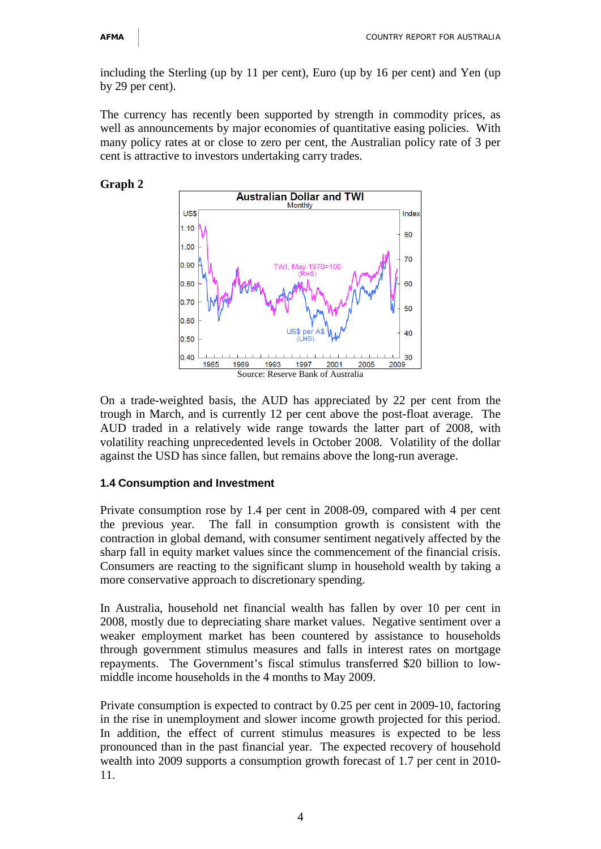including the Sterling (up by 11 per cent), Euro (up by 16 per cent) and Yen (up by 29 per cent).

The currency has recently been supported by strength in commodity prices, as well as announcements by major economies of quantitative easing policies. With many policy rates at or close to zero per cent, the Australian policy rate of 3 per cent is attractive to investors undertaking carry trades.

**Graph 2**



On a trade-weighted basis, the AUD has appreciated by 22 per cent from the trough in March, and is currently 12 per cent above the post-float average. The AUD traded in a relatively wide range towards the latter part of 2008, with volatility reaching unprecedented levels in October 2008. Volatility of the dollar against the USD has since fallen, but remains above the long-run average.

#### **1.4 Consumption and Investment**

Private consumption rose by 1.4 per cent in 2008-09, compared with 4 per cent the previous year. The fall in consumption growth is consistent with the contraction in global demand, with consumer sentiment negatively affected by the sharp fall in equity market values since the commencement of the financial crisis. Consumers are reacting to the significant slump in household wealth by taking a more conservative approach to discretionary spending.

In Australia, household net financial wealth has fallen by over 10 per cent in 2008, mostly due to depreciating share market values. Negative sentiment over a weaker employment market has been countered by assistance to households through government stimulus measures and falls in interest rates on mortgage repayments. The Government's fiscal stimulus transferred \$20 billion to lowmiddle income households in the 4 months to May 2009.

Private consumption is expected to contract by 0.25 per cent in 2009-10, factoring in the rise in unemployment and slower income growth projected for this period. In addition, the effect of current stimulus measures is expected to be less pronounced than in the past financial year. The expected recovery of household wealth into 2009 supports a consumption growth forecast of 1.7 per cent in 2010- 11.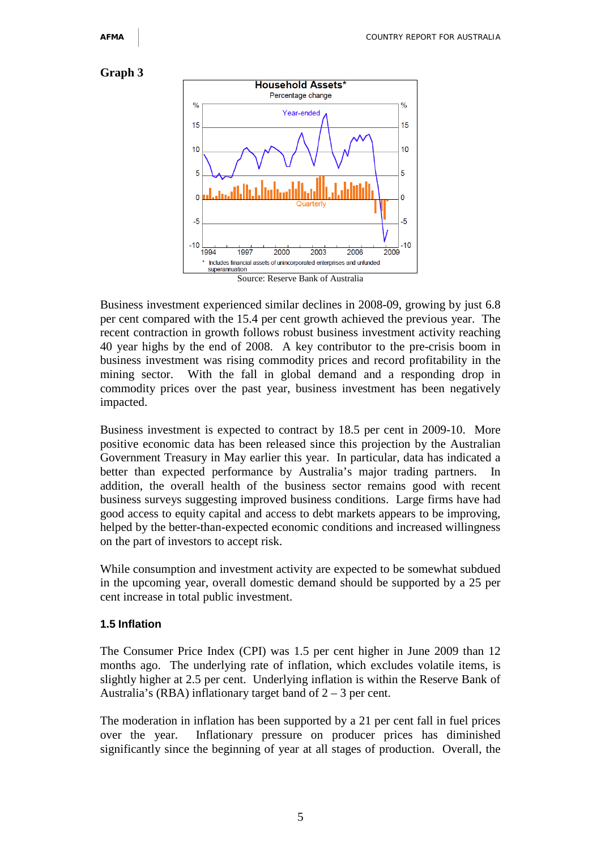#### **Graph 3**



Business investment experienced similar declines in 2008-09, growing by just 6.8 per cent compared with the 15.4 per cent growth achieved the previous year. The recent contraction in growth follows robust business investment activity reaching 40 year highs by the end of 2008. A key contributor to the pre-crisis boom in business investment was rising commodity prices and record profitability in the mining sector. With the fall in global demand and a responding drop in commodity prices over the past year, business investment has been negatively impacted.

Business investment is expected to contract by 18.5 per cent in 2009-10. More positive economic data has been released since this projection by the Australian Government Treasury in May earlier this year. In particular, data has indicated a better than expected performance by Australia's major trading partners. In addition, the overall health of the business sector remains good with recent business surveys suggesting improved business conditions. Large firms have had good access to equity capital and access to debt markets appears to be improving, helped by the better-than-expected economic conditions and increased willingness on the part of investors to accept risk.

While consumption and investment activity are expected to be somewhat subdued in the upcoming year, overall domestic demand should be supported by a 25 per cent increase in total public investment.

#### **1.5 Inflation**

The Consumer Price Index (CPI) was 1.5 per cent higher in June 2009 than 12 months ago. The underlying rate of inflation, which excludes volatile items, is slightly higher at 2.5 per cent. Underlying inflation is within the Reserve Bank of Australia's (RBA) inflationary target band of  $2 - 3$  per cent.

The moderation in inflation has been supported by a 21 per cent fall in fuel prices over the year. Inflationary pressure on producer prices has diminished significantly since the beginning of year at all stages of production. Overall, the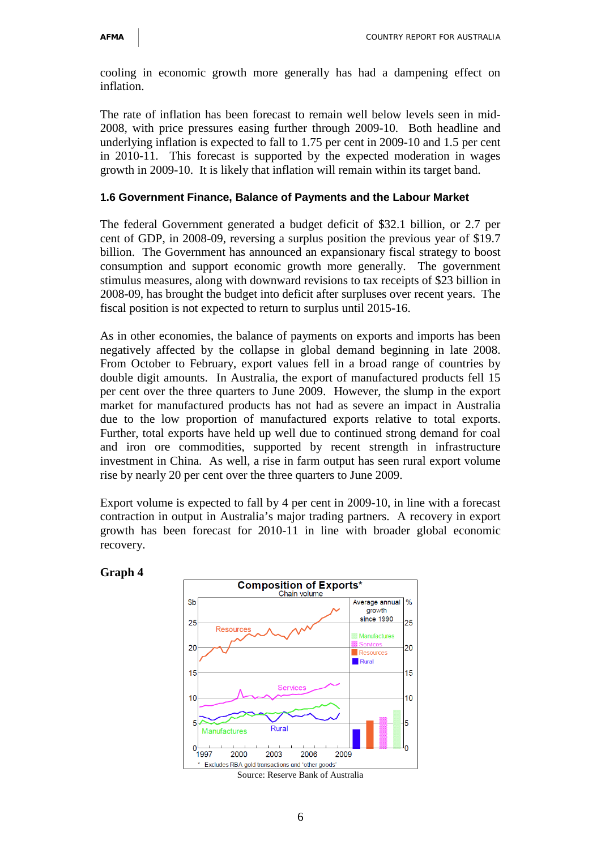cooling in economic growth more generally has had a dampening effect on inflation.

The rate of inflation has been forecast to remain well below levels seen in mid-2008, with price pressures easing further through 2009-10. Both headline and underlying inflation is expected to fall to 1.75 per cent in 2009-10 and 1.5 per cent in 2010-11. This forecast is supported by the expected moderation in wages growth in 2009-10. It is likely that inflation will remain within its target band.

# **1.6 Government Finance, Balance of Payments and the Labour Market**

The federal Government generated a budget deficit of \$32.1 billion, or 2.7 per cent of GDP, in 2008-09, reversing a surplus position the previous year of \$19.7 billion. The Government has announced an expansionary fiscal strategy to boost consumption and support economic growth more generally. The government stimulus measures, along with downward revisions to tax receipts of \$23 billion in 2008-09, has brought the budget into deficit after surpluses over recent years. The fiscal position is not expected to return to surplus until 2015-16.

As in other economies, the balance of payments on exports and imports has been negatively affected by the collapse in global demand beginning in late 2008. From October to February, export values fell in a broad range of countries by double digit amounts. In Australia, the export of manufactured products fell 15 per cent over the three quarters to June 2009. However, the slump in the export market for manufactured products has not had as severe an impact in Australia due to the low proportion of manufactured exports relative to total exports. Further, total exports have held up well due to continued strong demand for coal and iron ore commodities, supported by recent strength in infrastructure investment in China. As well, a rise in farm output has seen rural export volume rise by nearly 20 per cent over the three quarters to June 2009.

Export volume is expected to fall by 4 per cent in 2009-10, in line with a forecast contraction in output in Australia's major trading partners. A recovery in export growth has been forecast for 2010-11 in line with broader global economic recovery.



# **Graph 4**

Source: Reserve Bank of Australia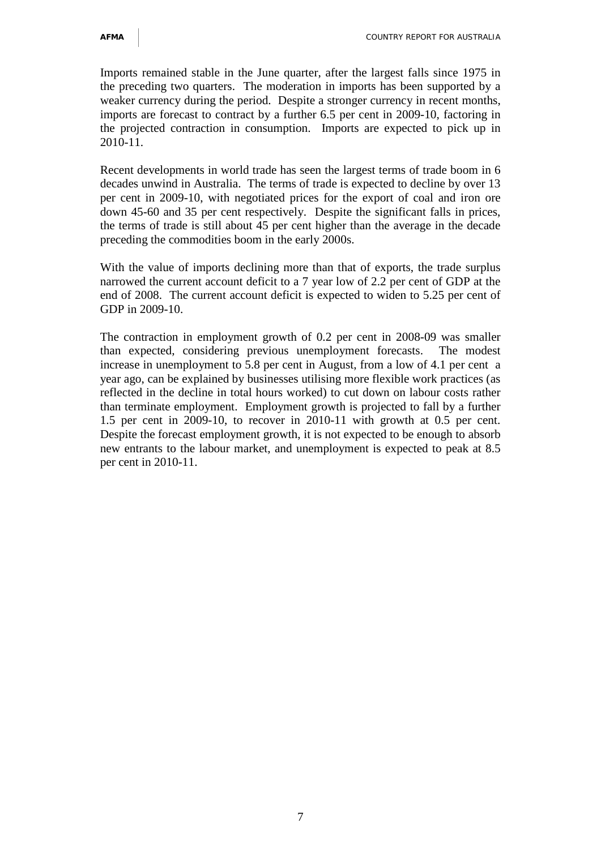Imports remained stable in the June quarter, after the largest falls since 1975 in the preceding two quarters. The moderation in imports has been supported by a weaker currency during the period. Despite a stronger currency in recent months, imports are forecast to contract by a further 6.5 per cent in 2009-10, factoring in the projected contraction in consumption. Imports are expected to pick up in 2010-11.

Recent developments in world trade has seen the largest terms of trade boom in 6 decades unwind in Australia. The terms of trade is expected to decline by over 13 per cent in 2009-10, with negotiated prices for the export of coal and iron ore down 45-60 and 35 per cent respectively. Despite the significant falls in prices, the terms of trade is still about 45 per cent higher than the average in the decade preceding the commodities boom in the early 2000s.

With the value of imports declining more than that of exports, the trade surplus narrowed the current account deficit to a 7 year low of 2.2 per cent of GDP at the end of 2008. The current account deficit is expected to widen to 5.25 per cent of GDP in 2009-10.

The contraction in employment growth of 0.2 per cent in 2008-09 was smaller than expected, considering previous unemployment forecasts. The modest increase in unemployment to 5.8 per cent in August, from a low of 4.1 per cent a year ago, can be explained by businesses utilising more flexible work practices (as reflected in the decline in total hours worked) to cut down on labour costs rather than terminate employment. Employment growth is projected to fall by a further 1.5 per cent in 2009-10, to recover in 2010-11 with growth at 0.5 per cent. Despite the forecast employment growth, it is not expected to be enough to absorb new entrants to the labour market, and unemployment is expected to peak at 8.5 per cent in 2010-11.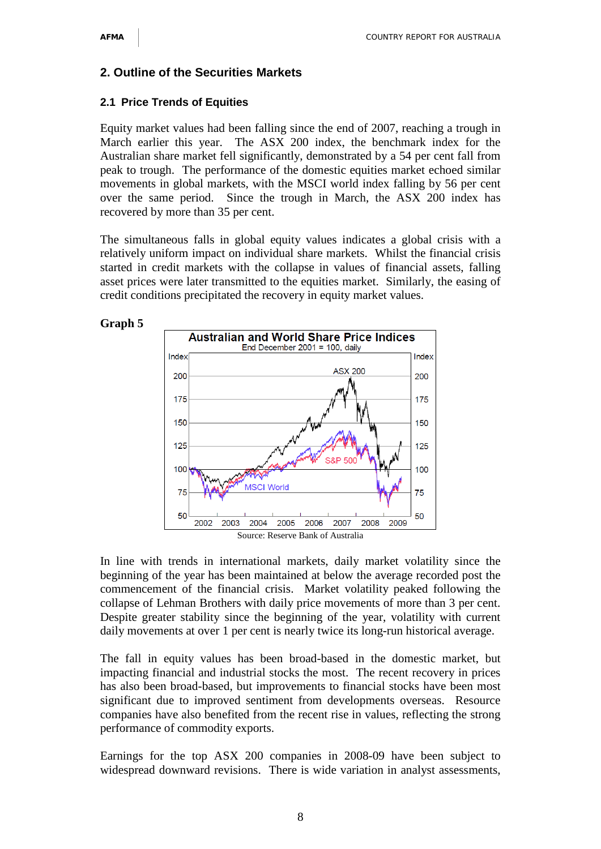#### **2. Outline of the Securities Markets**

#### **2.1 Price Trends of Equities**

Equity market values had been falling since the end of 2007, reaching a trough in March earlier this year. The ASX 200 index, the benchmark index for the Australian share market fell significantly, demonstrated by a 54 per cent fall from peak to trough. The performance of the domestic equities market echoed similar movements in global markets, with the MSCI world index falling by 56 per cent over the same period. Since the trough in March, the ASX 200 index has recovered by more than 35 per cent.

The simultaneous falls in global equity values indicates a global crisis with a relatively uniform impact on individual share markets. Whilst the financial crisis started in credit markets with the collapse in values of financial assets, falling asset prices were later transmitted to the equities market. Similarly, the easing of credit conditions precipitated the recovery in equity market values.





In line with trends in international markets, daily market volatility since the beginning of the year has been maintained at below the average recorded post the commencement of the financial crisis. Market volatility peaked following the collapse of Lehman Brothers with daily price movements of more than 3 per cent. Despite greater stability since the beginning of the year, volatility with current daily movements at over 1 per cent is nearly twice its long-run historical average.

The fall in equity values has been broad-based in the domestic market, but impacting financial and industrial stocks the most. The recent recovery in prices has also been broad-based, but improvements to financial stocks have been most significant due to improved sentiment from developments overseas. Resource companies have also benefited from the recent rise in values, reflecting the strong performance of commodity exports.

Earnings for the top ASX 200 companies in 2008-09 have been subject to widespread downward revisions. There is wide variation in analyst assessments,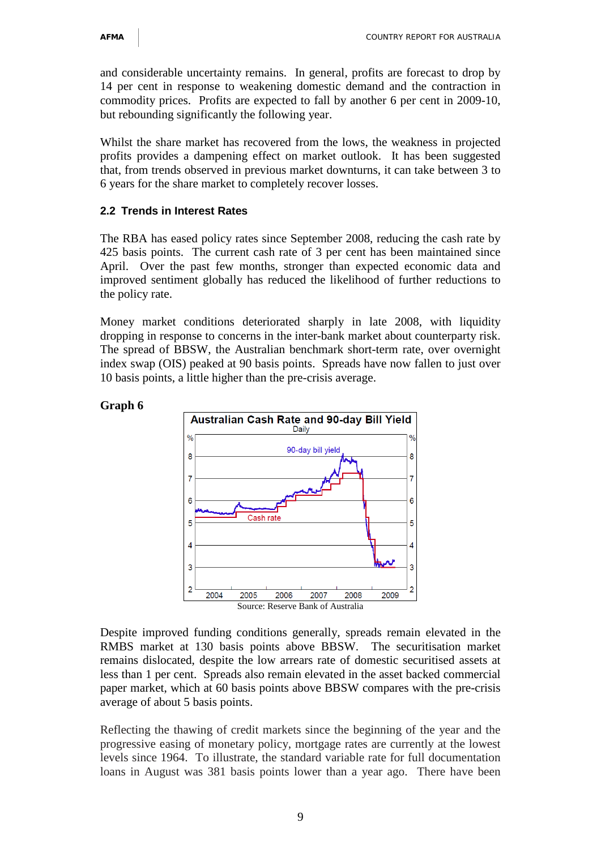and considerable uncertainty remains. In general, profits are forecast to drop by 14 per cent in response to weakening domestic demand and the contraction in commodity prices. Profits are expected to fall by another 6 per cent in 2009-10, but rebounding significantly the following year.

Whilst the share market has recovered from the lows, the weakness in projected profits provides a dampening effect on market outlook. It has been suggested that, from trends observed in previous market downturns, it can take between 3 to 6 years for the share market to completely recover losses.

### **2.2 Trends in Interest Rates**

The RBA has eased policy rates since September 2008, reducing the cash rate by 425 basis points. The current cash rate of 3 per cent has been maintained since April. Over the past few months, stronger than expected economic data and improved sentiment globally has reduced the likelihood of further reductions to the policy rate.

Money market conditions deteriorated sharply in late 2008, with liquidity dropping in response to concerns in the inter-bank market about counterparty risk. The spread of BBSW, the Australian benchmark short-term rate, over overnight index swap (OIS) peaked at 90 basis points. Spreads have now fallen to just over 10 basis points, a little higher than the pre-crisis average.



# **Graph 6**

Despite improved funding conditions generally, spreads remain elevated in the RMBS market at 130 basis points above BBSW. The securitisation market remains dislocated, despite the low arrears rate of domestic securitised assets at less than 1 per cent. Spreads also remain elevated in the asset backed commercial paper market, which at 60 basis points above BBSW compares with the pre-crisis average of about 5 basis points.

Reflecting the thawing of credit markets since the beginning of the year and the progressive easing of monetary policy, mortgage rates are currently at the lowest levels since 1964. To illustrate, the standard variable rate for full documentation loans in August was 381 basis points lower than a year ago. There have been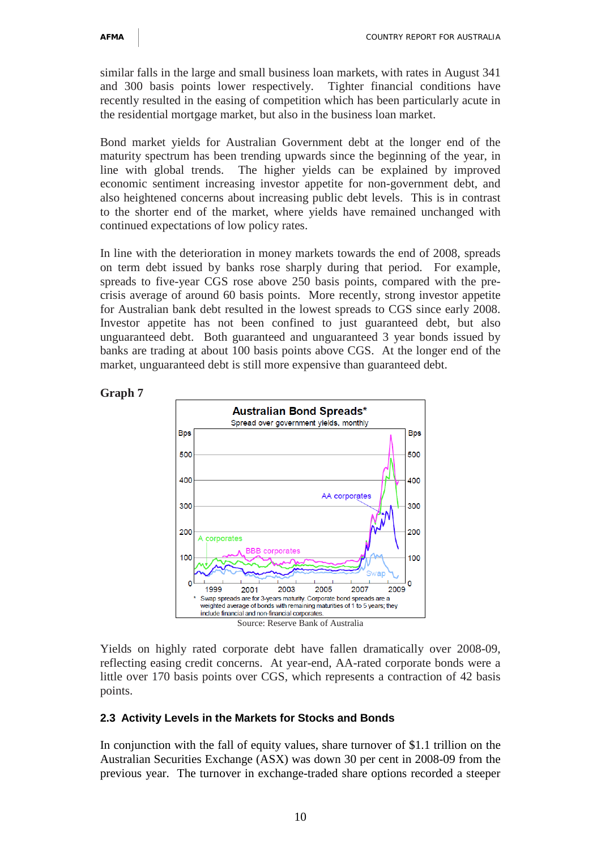similar falls in the large and small business loan markets, with rates in August 341 and 300 basis points lower respectively. Tighter financial conditions have recently resulted in the easing of competition which has been particularly acute in the residential mortgage market, but also in the business loan market.

Bond market yields for Australian Government debt at the longer end of the maturity spectrum has been trending upwards since the beginning of the year, in line with global trends. The higher yields can be explained by improved economic sentiment increasing investor appetite for non-government debt, and also heightened concerns about increasing public debt levels. This is in contrast to the shorter end of the market, where yields have remained unchanged with continued expectations of low policy rates.

In line with the deterioration in money markets towards the end of 2008, spreads on term debt issued by banks rose sharply during that period. For example, spreads to five-year CGS rose above 250 basis points, compared with the precrisis average of around 60 basis points. More recently, strong investor appetite for Australian bank debt resulted in the lowest spreads to CGS since early 2008. Investor appetite has not been confined to just guaranteed debt, but also unguaranteed debt. Both guaranteed and unguaranteed 3 year bonds issued by banks are trading at about 100 basis points above CGS. At the longer end of the market, unguaranteed debt is still more expensive than guaranteed debt.





Yields on highly rated corporate debt have fallen dramatically over 2008-09, reflecting easing credit concerns. At year-end, AA-rated corporate bonds were a little over 170 basis points over CGS, which represents a contraction of 42 basis points.

# **2.3 Activity Levels in the Markets for Stocks and Bonds**

In conjunction with the fall of equity values, share turnover of \$1.1 trillion on the Australian Securities Exchange (ASX) was down 30 per cent in 2008-09 from the previous year. The turnover in exchange-traded share options recorded a steeper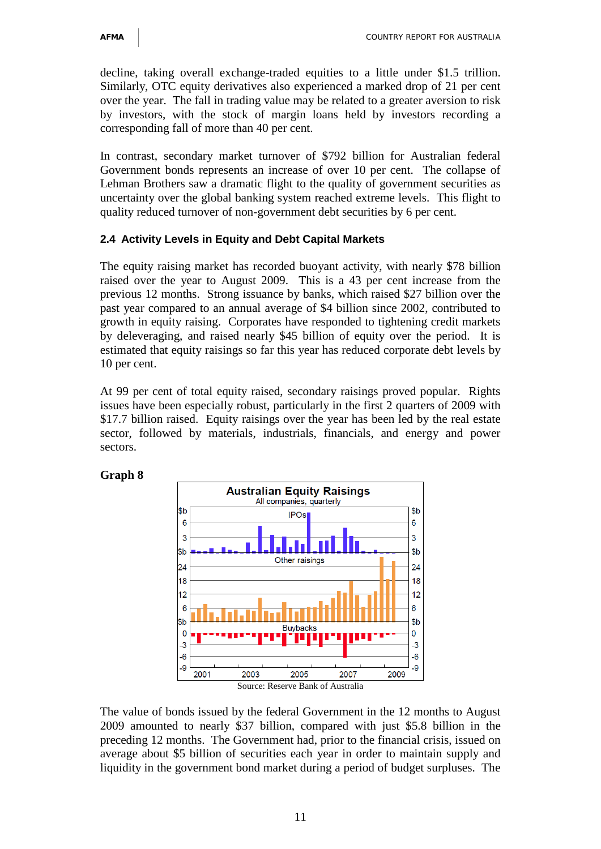decline, taking overall exchange-traded equities to a little under \$1.5 trillion. Similarly, OTC equity derivatives also experienced a marked drop of 21 per cent over the year. The fall in trading value may be related to a greater aversion to risk by investors, with the stock of margin loans held by investors recording a corresponding fall of more than 40 per cent.

In contrast, secondary market turnover of \$792 billion for Australian federal Government bonds represents an increase of over 10 per cent. The collapse of Lehman Brothers saw a dramatic flight to the quality of government securities as uncertainty over the global banking system reached extreme levels. This flight to quality reduced turnover of non-government debt securities by 6 per cent.

# **2.4 Activity Levels in Equity and Debt Capital Markets**

The equity raising market has recorded buoyant activity, with nearly \$78 billion raised over the year to August 2009. This is a 43 per cent increase from the previous 12 months. Strong issuance by banks, which raised \$27 billion over the past year compared to an annual average of \$4 billion since 2002, contributed to growth in equity raising. Corporates have responded to tightening credit markets by deleveraging, and raised nearly \$45 billion of equity over the period. It is estimated that equity raisings so far this year has reduced corporate debt levels by 10 per cent.

At 99 per cent of total equity raised, secondary raisings proved popular. Rights issues have been especially robust, particularly in the first 2 quarters of 2009 with \$17.7 billion raised. Equity raisings over the year has been led by the real estate sector, followed by materials, industrials, financials, and energy and power sectors.

# **Graph 8**



The value of bonds issued by the federal Government in the 12 months to August 2009 amounted to nearly \$37 billion, compared with just \$5.8 billion in the preceding 12 months. The Government had, prior to the financial crisis, issued on average about \$5 billion of securities each year in order to maintain supply and liquidity in the government bond market during a period of budget surpluses. The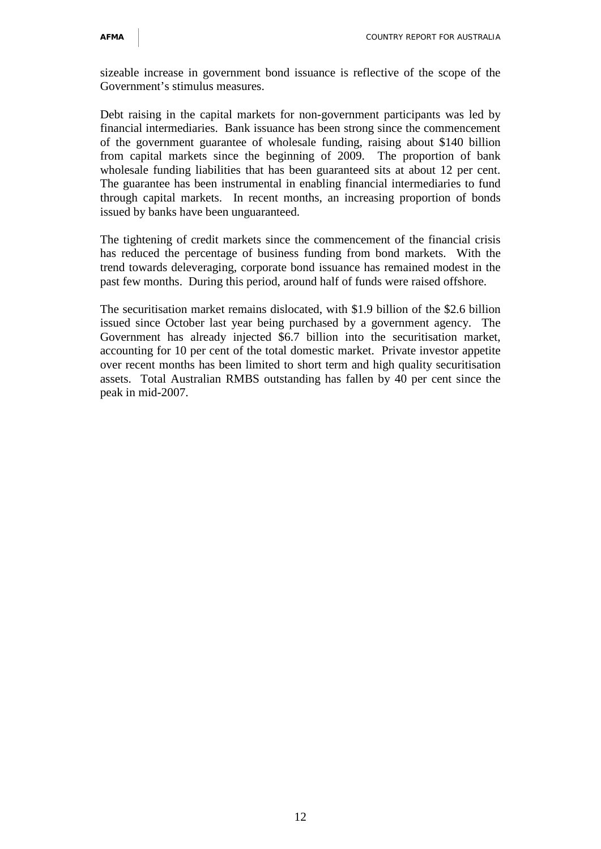sizeable increase in government bond issuance is reflective of the scope of the Government's stimulus measures.

Debt raising in the capital markets for non-government participants was led by financial intermediaries. Bank issuance has been strong since the commencement of the government guarantee of wholesale funding, raising about \$140 billion from capital markets since the beginning of 2009. The proportion of bank wholesale funding liabilities that has been guaranteed sits at about 12 per cent. The guarantee has been instrumental in enabling financial intermediaries to fund through capital markets. In recent months, an increasing proportion of bonds issued by banks have been unguaranteed.

The tightening of credit markets since the commencement of the financial crisis has reduced the percentage of business funding from bond markets. With the trend towards deleveraging, corporate bond issuance has remained modest in the past few months. During this period, around half of funds were raised offshore.

The securitisation market remains dislocated, with \$1.9 billion of the \$2.6 billion issued since October last year being purchased by a government agency. The Government has already injected \$6.7 billion into the securitisation market, accounting for 10 per cent of the total domestic market. Private investor appetite over recent months has been limited to short term and high quality securitisation assets. Total Australian RMBS outstanding has fallen by 40 per cent since the peak in mid-2007.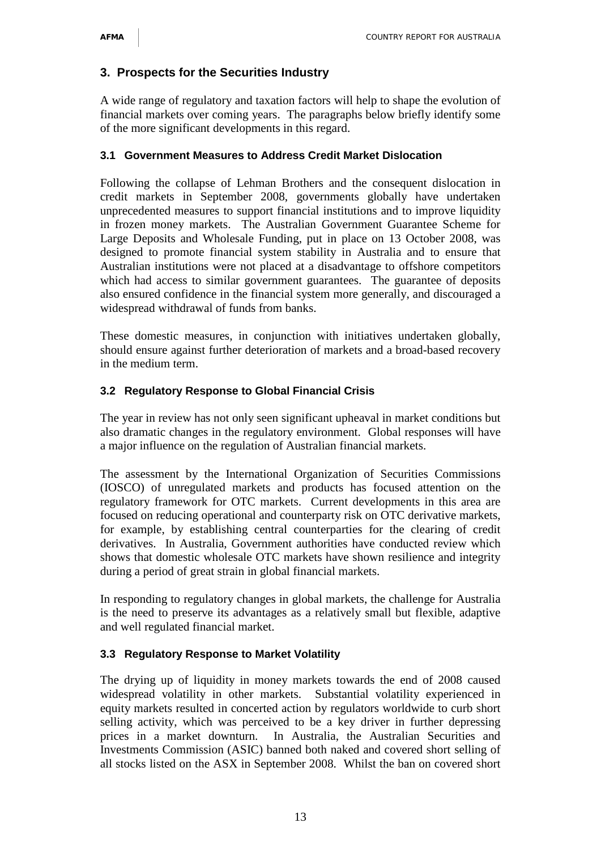# **3. Prospects for the Securities Industry**

A wide range of regulatory and taxation factors will help to shape the evolution of financial markets over coming years. The paragraphs below briefly identify some of the more significant developments in this regard.

#### **3.1 Government Measures to Address Credit Market Dislocation**

Following the collapse of Lehman Brothers and the consequent dislocation in credit markets in September 2008, governments globally have undertaken unprecedented measures to support financial institutions and to improve liquidity in frozen money markets. The Australian Government Guarantee Scheme for Large Deposits and Wholesale Funding, put in place on 13 October 2008, was designed to promote financial system stability in Australia and to ensure that Australian institutions were not placed at a disadvantage to offshore competitors which had access to similar government guarantees. The guarantee of deposits also ensured confidence in the financial system more generally, and discouraged a widespread withdrawal of funds from banks.

These domestic measures, in conjunction with initiatives undertaken globally, should ensure against further deterioration of markets and a broad-based recovery in the medium term.

### **3.2 Regulatory Response to Global Financial Crisis**

The year in review has not only seen significant upheaval in market conditions but also dramatic changes in the regulatory environment. Global responses will have a major influence on the regulation of Australian financial markets.

The assessment by the International Organization of Securities Commissions (IOSCO) of unregulated markets and products has focused attention on the regulatory framework for OTC markets. Current developments in this area are focused on reducing operational and counterparty risk on OTC derivative markets, for example, by establishing central counterparties for the clearing of credit derivatives. In Australia, Government authorities have conducted review which shows that domestic wholesale OTC markets have shown resilience and integrity during a period of great strain in global financial markets.

In responding to regulatory changes in global markets, the challenge for Australia is the need to preserve its advantages as a relatively small but flexible, adaptive and well regulated financial market.

# **3.3 Regulatory Response to Market Volatility**

The drying up of liquidity in money markets towards the end of 2008 caused widespread volatility in other markets. Substantial volatility experienced in equity markets resulted in concerted action by regulators worldwide to curb short selling activity, which was perceived to be a key driver in further depressing prices in a market downturn. In Australia, the Australian Securities and Investments Commission (ASIC) banned both naked and covered short selling of all stocks listed on the ASX in September 2008. Whilst the ban on covered short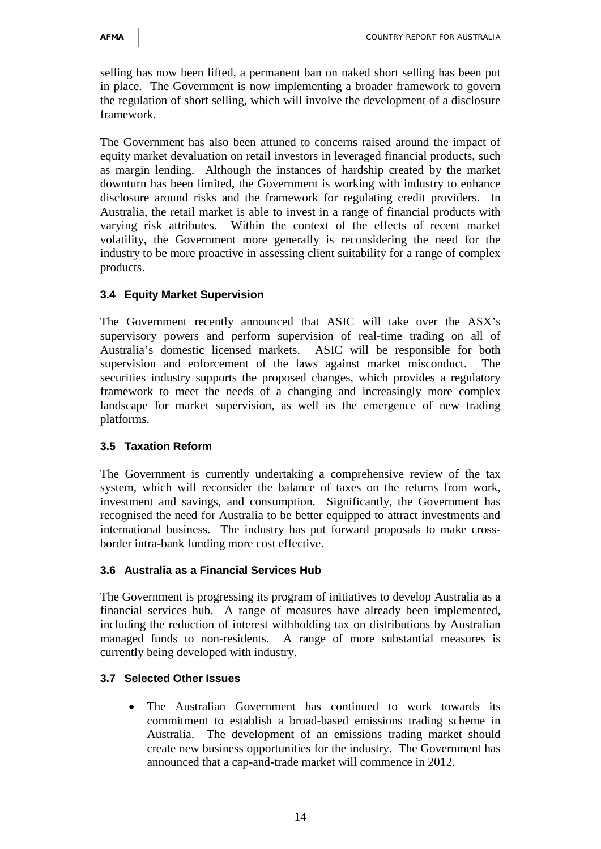selling has now been lifted, a permanent ban on naked short selling has been put in place. The Government is now implementing a broader framework to govern the regulation of short selling, which will involve the development of a disclosure framework.

The Government has also been attuned to concerns raised around the impact of equity market devaluation on retail investors in leveraged financial products, such as margin lending. Although the instances of hardship created by the market downturn has been limited, the Government is working with industry to enhance disclosure around risks and the framework for regulating credit providers. In Australia, the retail market is able to invest in a range of financial products with varying risk attributes. Within the context of the effects of recent market volatility, the Government more generally is reconsidering the need for the industry to be more proactive in assessing client suitability for a range of complex products.

# **3.4 Equity Market Supervision**

The Government recently announced that ASIC will take over the ASX's supervisory powers and perform supervision of real-time trading on all of Australia's domestic licensed markets. ASIC will be responsible for both supervision and enforcement of the laws against market misconduct. The securities industry supports the proposed changes, which provides a regulatory framework to meet the needs of a changing and increasingly more complex landscape for market supervision, as well as the emergence of new trading platforms.

# **3.5 Taxation Reform**

The Government is currently undertaking a comprehensive review of the tax system, which will reconsider the balance of taxes on the returns from work, investment and savings, and consumption. Significantly, the Government has recognised the need for Australia to be better equipped to attract investments and international business. The industry has put forward proposals to make crossborder intra-bank funding more cost effective.

# **3.6 Australia as a Financial Services Hub**

The Government is progressing its program of initiatives to develop Australia as a financial services hub. A range of measures have already been implemented, including the reduction of interest withholding tax on distributions by Australian managed funds to non-residents. A range of more substantial measures is currently being developed with industry.

# **3.7 Selected Other Issues**

• The Australian Government has continued to work towards its commitment to establish a broad-based emissions trading scheme in Australia. The development of an emissions trading market should create new business opportunities for the industry. The Government has announced that a cap-and-trade market will commence in 2012.